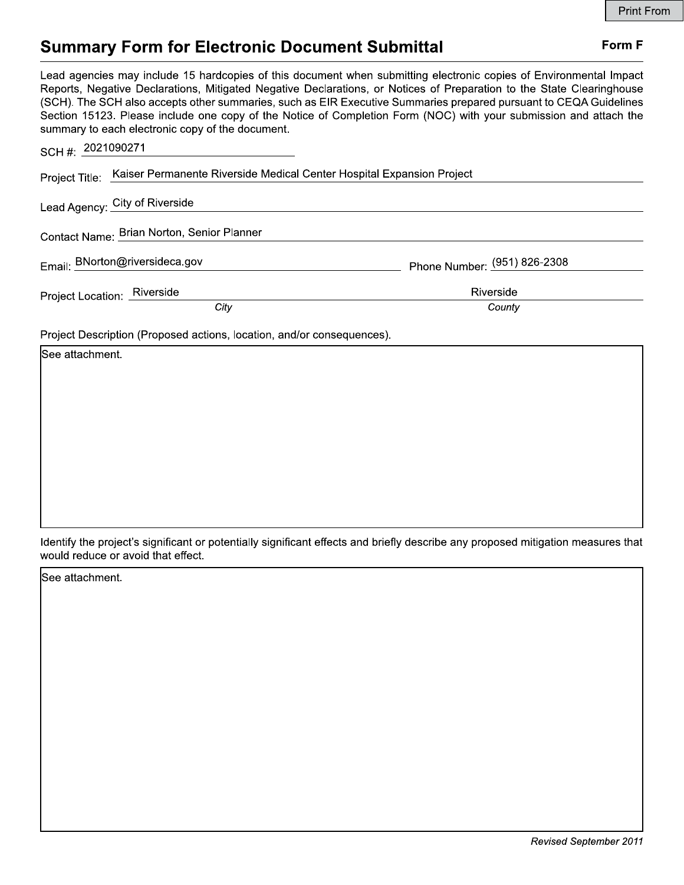## Form F

# **Summary Form for Electronic Document Submittal**

Lead agencies may include 15 hardcopies of this document when submitting electronic copies of Environmental Impact Reports, Negative Declarations, Mitigated Negative Declarations, or Notices of Preparation to the State Clearinghouse (SCH). The SCH also accepts other summaries, such as EIR Executive Summaries prepared pursuant to CEQA Guidelines Section 15123. Please include one copy of the Notice of Completion Form (NOC) with your submission and attach the summary to each electronic copy of the document.

| SCH #: 2021090271                                                                    |                              |
|--------------------------------------------------------------------------------------|------------------------------|
| Project Title: Kaiser Permanente Riverside Medical Center Hospital Expansion Project |                              |
| Lead Agency: City of Riverside                                                       |                              |
| Contact Name: Brian Norton, Senior Planner                                           |                              |
| Email: BNorton@riversideca.gov                                                       | Phone Number: (951) 826-2308 |
| Project Location: Riverside<br>City                                                  | Riverside<br>County          |

Project Description (Proposed actions, location, and/or consequences).

| See attachment. |  |  |
|-----------------|--|--|
|                 |  |  |
|                 |  |  |
|                 |  |  |
|                 |  |  |
|                 |  |  |
|                 |  |  |
|                 |  |  |
|                 |  |  |

Identify the project's significant or potentially significant effects and briefly describe any proposed mitigation measures that would reduce or avoid that effect.

See attachment.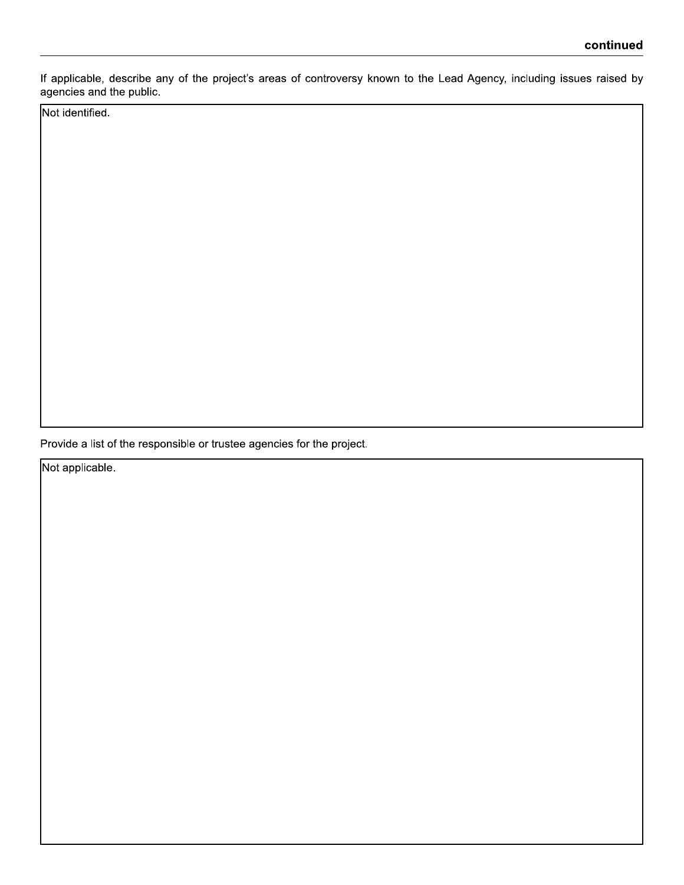If applicable, describe any of the project's areas of controversy known to the Lead Agency, including issues raised by agencies and the public.

Not identified.

Provide a list of the responsible or trustee agencies for the project.

Not applicable.